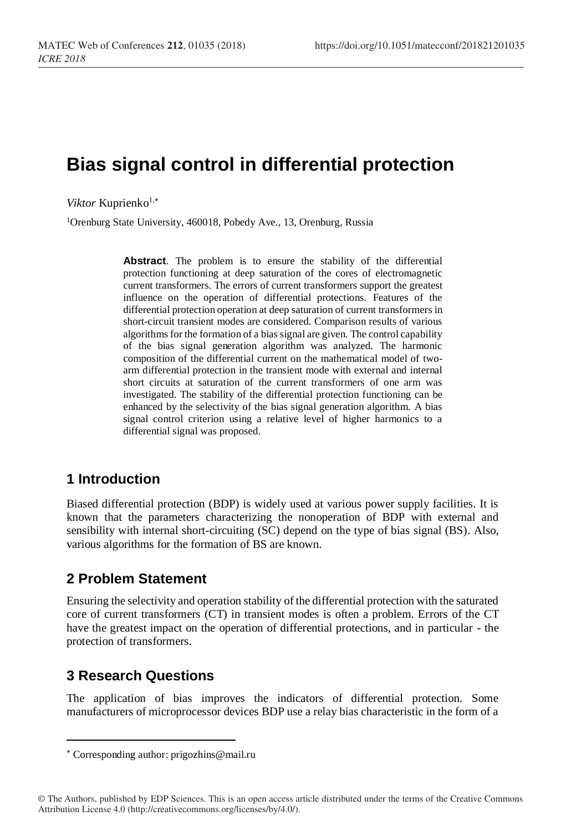# **Bias signal control in differential protection**

*Viktor* Kuprienko<sup>1,\*</sup>

<sup>1</sup>Orenburg State University, 460018, Pobedy Ave., 13, Orenburg, Russia

**Abstract**. The problem is to ensure the stability of the differential protection functioning at deep saturation of the cores of electromagnetic current transformers. The errors of current transformers support the greatest influence on the operation of differential protections. Features of the differential protection operation at deep saturation of current transformers in short-circuit transient modes are considered. Comparison results of various algorithms for the formation of a bias signal are given. The control capability of the bias signal generation algorithm was analyzed. The harmonic composition of the differential current on the mathematical model of twoarm differential protection in the transient mode with external and internal short circuits at saturation of the current transformers of one arm was investigated. The stability of the differential protection functioning can be enhanced by the selectivity of the bias signal generation algorithm. A bias signal control criterion using a relative level of higher harmonics to a differential signal was proposed.

## **1 Introduction**

Biased differential protection (BDP) is widely used at various power supply facilities. It is known that the parameters characterizing the nonoperation of BDP with external and sensibility with internal short-circuiting (SC) depend on the type of bias signal (BS). Also, various algorithms for the formation of BS are known.

## **2 Problem Statement**

Ensuring the selectivity and operation stability of the differential protection with the saturated core of current transformers (CT) in transient modes is often a problem. Errors of the CT have the greatest impact on the operation of differential protections, and in particular - the protection of transformers.

## **3 Research Questions**

l

The application of bias improves the indicators of differential protection. Some manufacturers of microprocessor devices BDP use a relay bias characteristic in the form of a

Corresponding author: prigozhins@mail.ru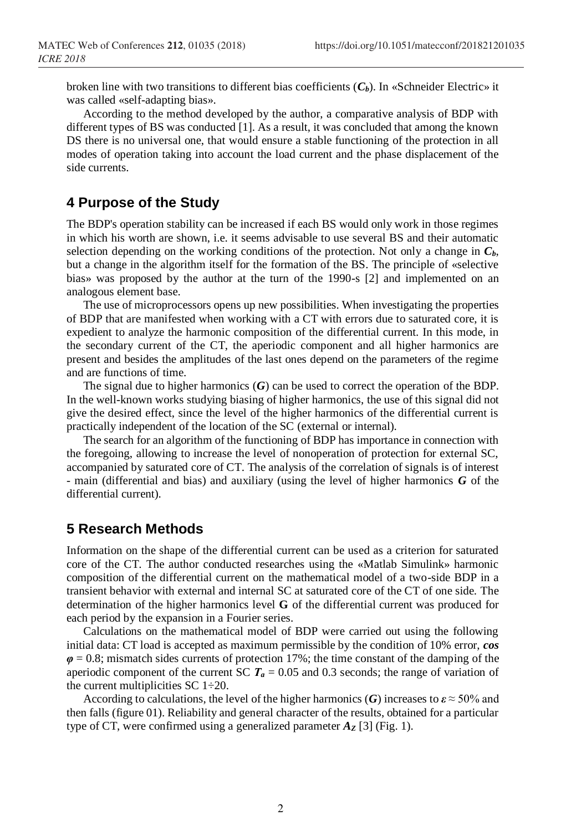broken line with two transitions to different bias coefficients  $(C_b)$ . In «Schneider Electric» it was called «self-adapting bias».

According to the method developed by the author, a comparative analysis of BDP with different types of BS was conducted [1]. As a result, it was concluded that among the known DS there is no universal one, that would ensure a stable functioning of the protection in all modes of operation taking into account the load current and the phase displacement of the side currents.

#### **4 Purpose of the Study**

The BDP's operation stability can be increased if each BS would only work in those regimes in which his worth are shown, i.e. it seems advisable to use several BS and their automatic selection depending on the working conditions of the protection. Not only a change in  $C_b$ , but a change in the algorithm itself for the formation of the BS. The principle of «selective bias» was proposed by the author at the turn of the 1990-s [2] and implemented on an analogous element base.

The use of microprocessors opens up new possibilities. When investigating the properties of BDP that are manifested when working with a CT with errors due to saturated core, it is expedient to analyze the harmonic composition of the differential current. In this mode, in the secondary current of the CT, the aperiodic component and all higher harmonics are present and besides the amplitudes of the last ones depend on the parameters of the regime and are functions of time.

The signal due to higher harmonics (*G*) can be used to correct the operation of the BDP. In the well-known works studying biasing of higher harmonics, the use of this signal did not give the desired effect, since the level of the higher harmonics of the differential current is practically independent of the location of the SC (external or internal).

The search for an algorithm of the functioning of BDP has importance in connection with the foregoing, allowing to increase the level of nonoperation of protection for external SC, accompanied by saturated core of CT. The analysis of the correlation of signals is of interest - main (differential and bias) and auxiliary (using the level of higher harmonics *G* of the differential current).

### **5 Research Methods**

Information on the shape of the differential current can be used as a criterion for saturated core of the CT. The author conducted researches using the «Matlab Simulink» harmonic composition of the differential current on the mathematical model of a two-side BDP in a transient behavior with external and internal SC at saturated core of the CT of one side. The determination of the higher harmonics level **G** of the differential current was produced for each period by the expansion in a Fourier series.

Calculations on the mathematical model of BDP were carried out using the following initial data: CT load is accepted as maximum permissible by the condition of 10% error, *cos φ* = 0.8; mismatch sides currents of protection 17%; the time constant of the damping of the aperiodic component of the current SC  $T_a = 0.05$  and 0.3 seconds; the range of variation of the current multiplicities SC  $1\div 20$ .

According to calculations, the level of the higher harmonics (*G*) increases to  $\varepsilon \approx 50\%$  and then falls (figure 01). Reliability and general character of the results, obtained for a particular type of CT, were confirmed using a generalized parameter  $A_{\mathbf{Z}}$  [3] (Fig. 1).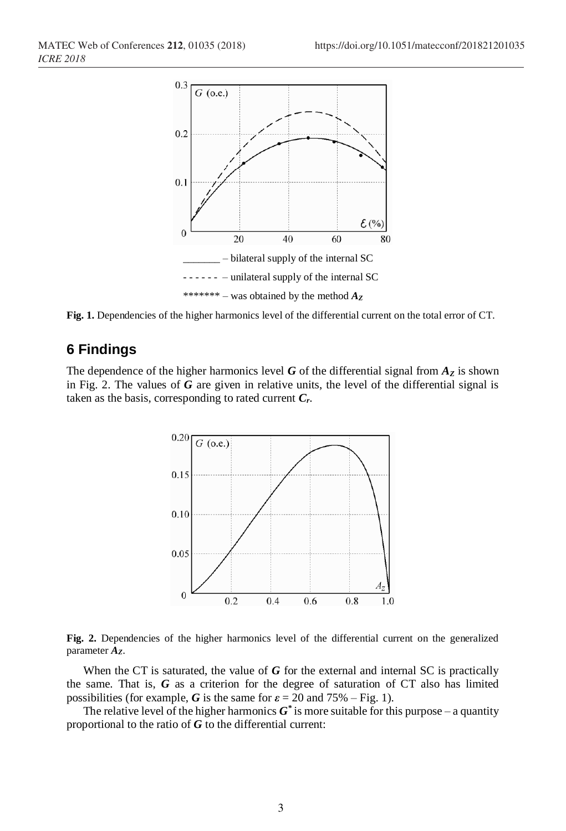

Fig. 1. Dependencies of the higher harmonics level of the differential current on the total error of CT.

## **6 Findings**

The dependence of the higher harmonics level *G* of the differential signal from  $A_Z$  is shown in Fig. 2. The values of *G* are given in relative units, the level of the differential signal is taken as the basis, corresponding to rated current *Cr*.





When the CT is saturated, the value of *G* for the external and internal SC is practically the same. That is, *G* as a criterion for the degree of saturation of CT also has limited possibilities (for example, *G* is the same for  $\varepsilon = 20$  and 75% – Fig. 1).

The relative level of the higher harmonics  $G^*$  is more suitable for this purpose – a quantity proportional to the ratio of *G* to the differential current: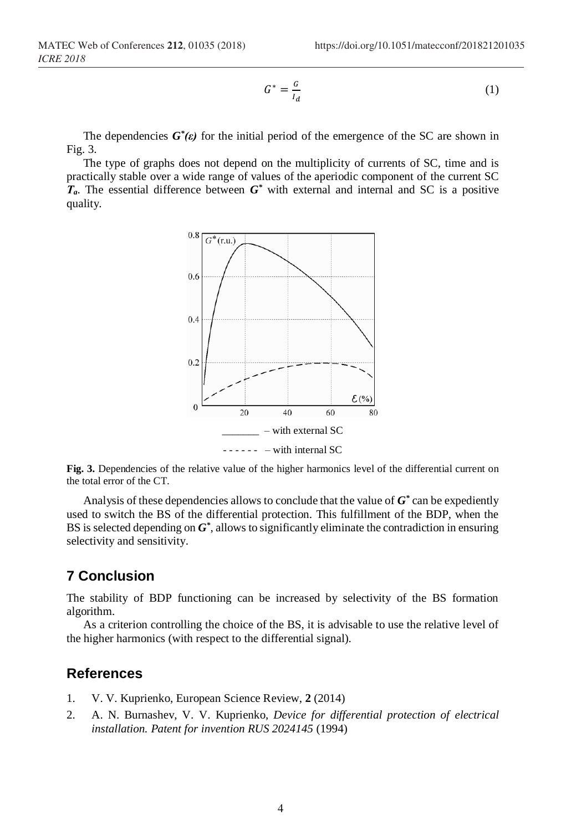$$
G^* = \frac{G}{I_d} \tag{1}
$$

The dependencies  $G^*(\varepsilon)$  for the initial period of the emergence of the SC are shown in Fig. 3.

The type of graphs does not depend on the multiplicity of currents of SC, time and is practically stable over a wide range of values of the aperiodic component of the current SC  $T_a$ . The essential difference between  $G^*$  with external and internal and SC is a positive quality.



Fig. 3. Dependencies of the relative value of the higher harmonics level of the differential current on the total error of the CT.

Analysis of these dependencies allows to conclude that the value of  $G^*$  can be expediently used to switch the BS of the differential protection. This fulfillment of the BDP, when the BS is selected depending on *G\** , allows to significantly eliminate the contradiction in ensuring selectivity and sensitivity.

## **7 Conclusion**

The stability of BDP functioning can be increased by selectivity of the BS formation algorithm.

As a criterion controlling the choice of the BS, it is advisable to use the relative level of the higher harmonics (with respect to the differential signal).

#### **References**

- 1. V. V. Kuprienko, European Science Review, **2** (2014)
- 2. A. N. Burnashev, V. V. Kuprienko, *Device for differential protection of electrical installation. Patent for invention RUS 2024145* (1994)